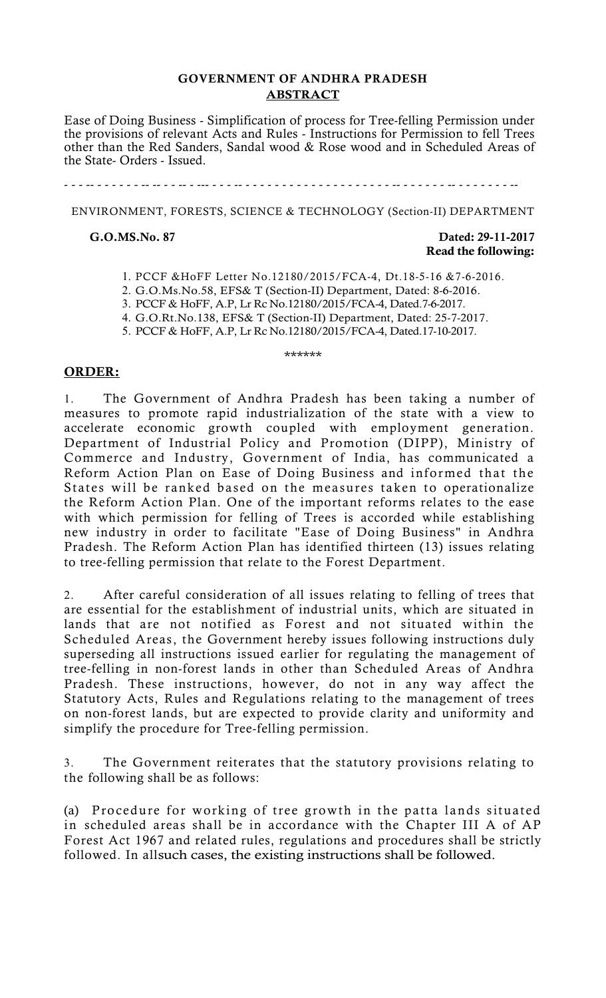## **GOVERNMENT OF ANDHRA PRADESH ABSTRACT**

Ease of Doing Business - Simplification of process for Tree-felling Permission under the provisions of relevant Acts and Rules - Instructions for Permission to fell Trees other than the Red Sanders, Sandal wood & Rose wood and in Scheduled Areas of the State- Orders - Issued.

- - - -- - - - - - - -- -- - - -- - --- - - - -- - - - - - - - - - - - - - - - - - - - - -- - - - - - - -- - - - - - - - --

ENVIRONMENT, FORESTS, SCIENCE & TECHNOLOGY (Section-II) DEPARTMENT

#### **G.O.MS.No. 87 Dated: 29-11-2017 Read the following:**

- 1. PCCF &HoFF Letter No.12180/2015/FCA-4, Dt.18-5-16 &7-6-2016.
- 2. G.O.Ms.No.58, EFS& T (Section-II) Department, Dated: 8-6-2016.
- 3. PCCF & HoFF, A.P, Lr Rc No.12180/2015/FCA-4, Dated.7-6-2017.
- 4. G.O.Rt.No.138, EFS& T (Section-II) Department, Dated: 25-7-2017.

5. PCCF & HoFF, A.P, Lr Rc No.12180/2015/FCA-4, Dated.17-10-2017.

#### \*\*\*\*\*\*

#### **ORDER:**

1. The Government of Andhra Pradesh has been taking a number of measures to promote rapid industrialization of the state with a view to accelerate economic growth coupled with employment generation. Department of Industrial Policy and Promotion (DIPP), Ministry of Commerce and Industry, Government of India, has communicated a Reform Action Plan on Ease of Doing Business and informed that the States will be ranked based on the measures taken to operationalize the Reform Action Plan. One of the important reforms relates to the ease with which permission for felling of Trees is accorded while establishing new industry in order to facilitate "Ease of Doing Business" in Andhra Pradesh. The Reform Action Plan has identified thirteen (13) issues relating to tree-felling permission that relate to the Forest Department.

2. After careful consideration of all issues relating to felling of trees that are essential for the establishment of industrial units, which are situated in lands that are not notified as Forest and not situated within the Scheduled Areas, the Government hereby issues following instructions duly superseding all instructions issued earlier for regulating the management of tree-felling in non-forest lands in other than Scheduled Areas of Andhra Pradesh. These instructions, however, do not in any way affect the Statutory Acts, Rules and Regulations relating to the management of trees on non-forest lands, but are expected to provide clarity and uniformity and simplify the procedure for Tree-felling permission.

3. The Government reiterates that the statutory provisions relating to the following shall be as follows:

(a) Procedure for working of tree growth in the patta lands situated in scheduled areas shall be in accordance with the Chapter III A of AP Forest Act 1967 and related rules, regulations and procedures shall be strictly followed. In allsuch cases, the existing instructions shall be followed.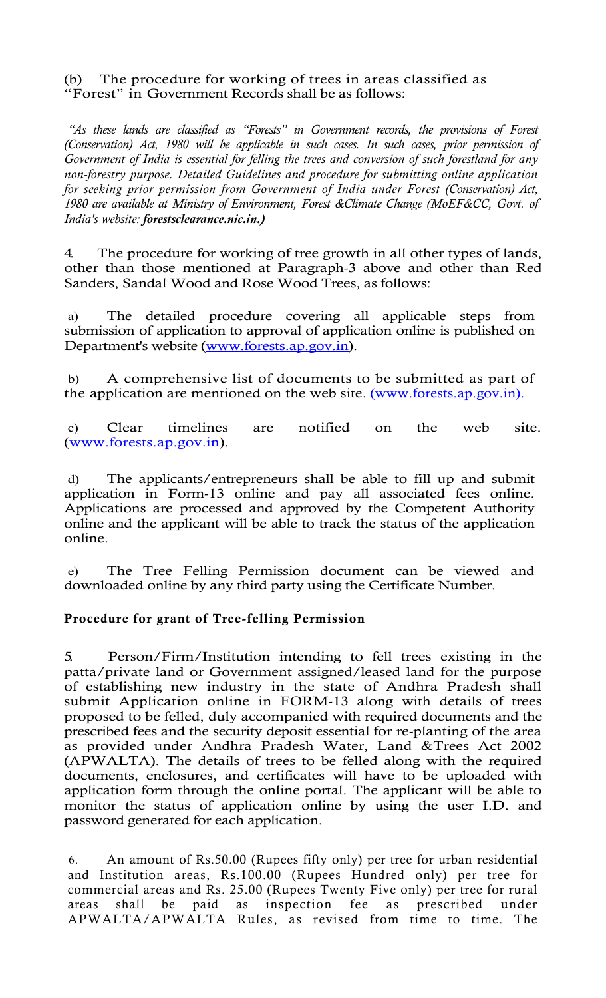(b) The procedure for working of trees in areas classified as "Forest" in Government Records shall be as follows:

*"As these lands are classified as "Forests" in Government records, the provisions of Forest (Conservation) Act, 1980 will be applicable in such cases. In such cases, prior permission of Government of India is essential for felling the trees and conversion of such forestland for any non-forestry purpose. Detailed Guidelines and procedure for submitting online application for seeking prior permission from Government of India under Forest (Conservation) Act, 1980 are available at Ministry of Environment, Forest &Climate Change (MoEF&CC, Govt. of India's website: forestsclearance.nic.in.)*

4. The procedure for working of tree growth in all other types of lands, other than those mentioned at Paragraph-3 above and other than Red Sanders, Sandal Wood and Rose Wood Trees, as follows:

a) The detailed procedure covering all applicable steps from submission of application to approval of application online is published on Department's website (www.forests.ap.gov.in).

b) A comprehensive list of documents to be submitted as part of the application are mentioned on the web site. (www.forests.ap.gov.in).

c) Clear timelines are notified on the web site. (www.forests.ap.gov.in).

d) The applicants/entrepreneurs shall be able to fill up and submit application in Form-13 online and pay all associated fees online. Applications are processed and approved by the Competent Authority online and the applicant will be able to track the status of the application online.

e) The Tree Felling Permission document can be viewed and downloaded online by any third party using the Certificate Number.

#### **Procedure for grant of Tree-felling Permission**

5. Person/Firm/Institution intending to fell trees existing in the patta/private land or Government assigned/leased land for the purpose of establishing new industry in the state of Andhra Pradesh shall submit Application online in FORM-13 along with details of trees proposed to be felled, duly accompanied with required documents and the prescribed fees and the security deposit essential for re-planting of the area as provided under Andhra Pradesh Water, Land &Trees Act 2002 (APWALTA). The details of trees to be felled along with the required documents, enclosures, and certificates will have to be uploaded with application form through the online portal. The applicant will be able to monitor the status of application online by using the user I.D. and password generated for each application.

6. An amount of Rs.50.00 (Rupees fifty only) per tree for urban residential and Institution areas, Rs.100.00 (Rupees Hundred only) per tree for commercial areas and Rs. 25.00 (Rupees Twenty Five only) per tree for rural areas shall be paid as inspection fee as prescribed under APWALTA/APWALTA Rules, as revised from time to time. The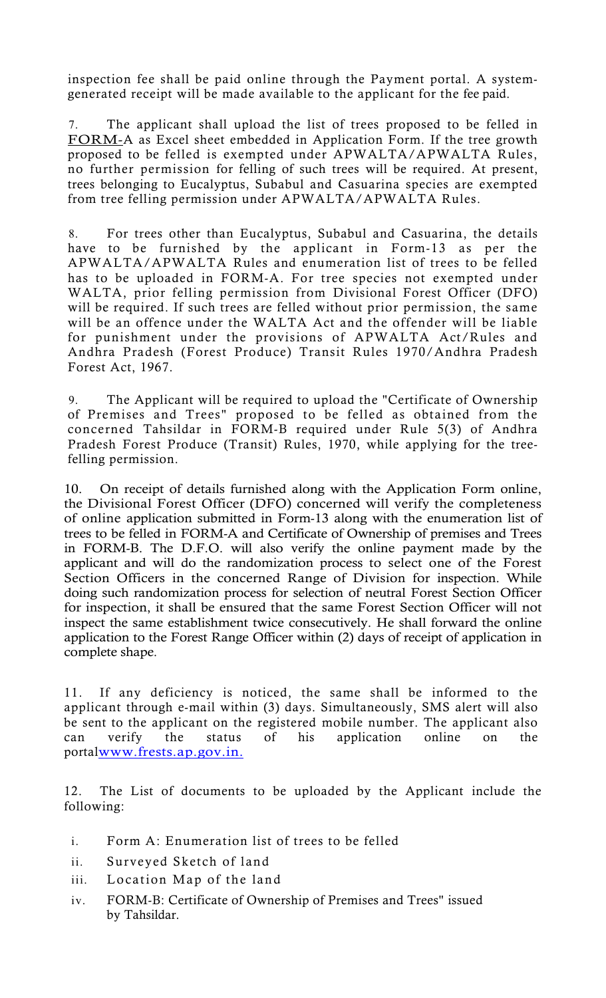inspection fee shall be paid online through the Payment portal. A systemgenerated receipt will be made available to the applicant for the fee paid.

7. The applicant shall upload the list of trees proposed to be felled in FORM-A as Excel sheet embedded in Application Form. If the tree growth proposed to be felled is exempted under APWALTA/APWALTA Rules, no further permission for felling of such trees will be required. At present, trees belonging to Eucalyptus, Subabul and Casuarina species are exempted from tree felling permission under APWALTA/APWALTA Rules.

8. For trees other than Eucalyptus, Subabul and Casuarina, the details have to be furnished by the applicant in Form-13 as per the APWALTA/APWALTA Rules and enumeration list of trees to be felled has to be uploaded in FORM-A. For tree species not exempted under WALTA, prior felling permission from Divisional Forest Officer (DFO) will be required. If such trees are felled without prior permission, the same will be an offence under the WALTA Act and the offender will be liable for punishment under the provisions of APWALTA Act/Rules and Andhra Pradesh (Forest Produce) Transit Rules 1970/Andhra Pradesh Forest Act, 1967.

9. The Applicant will be required to upload the "Certificate of Ownership of Premises and Trees" proposed to be felled as obtained from the concerned Tahsildar in FORM-B required under Rule 5(3) of Andhra Pradesh Forest Produce (Transit) Rules, 1970, while applying for the treefelling permission.

10. On receipt of details furnished along with the Application Form online, the Divisional Forest Officer (DFO) concerned will verify the completeness of online application submitted in Form-13 along with the enumeration list of trees to be felled in FORM-A and Certificate of Ownership of premises and Trees in FORM-B. The D.F.O. will also verify the online payment made by the applicant and will do the randomization process to select one of the Forest Section Officers in the concerned Range of Division for inspection. While doing such randomization process for selection of neutral Forest Section Officer for inspection, it shall be ensured that the same Forest Section Officer will not inspect the same establishment twice consecutively. He shall forward the online application to the Forest Range Officer within (2) days of receipt of application in complete shape.

11. If any deficiency is noticed, the same shall be informed to the applicant through e-mail within (3) days. Simultaneously, SMS alert will also be sent to the applicant on the registered mobile number. The applicant also can verify the status of his application online on the portalwww.frests.ap.gov.in.

12. The List of documents to be uploaded by the Applicant include the following:

- i. Form A: Enumeration list of trees to be felled
- ii. Surveyed Sketch of land
- iii. Location Map of the land
- iv. FORM-B: Certificate of Ownership of Premises and Trees" issued by Tahsildar.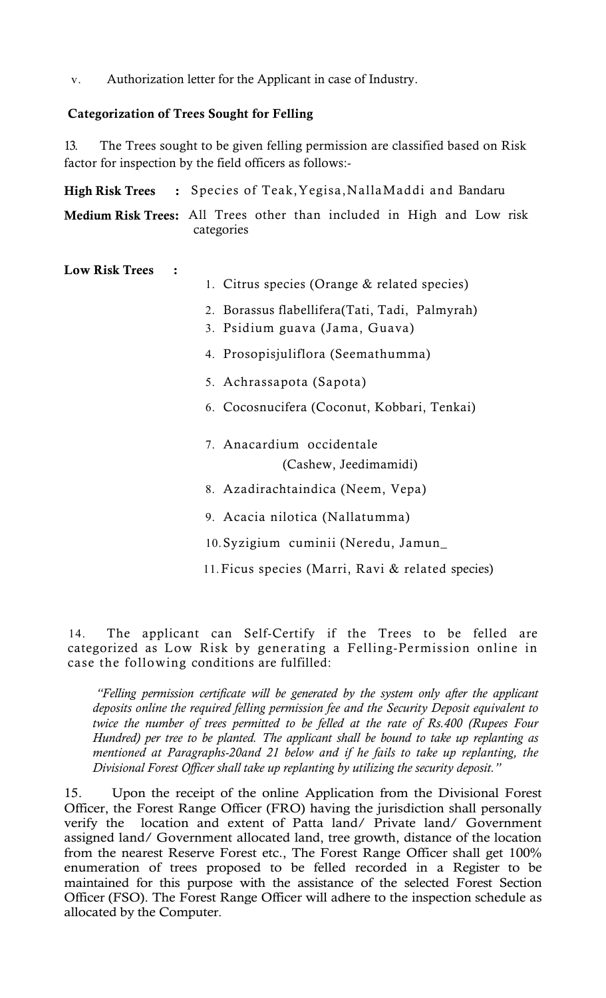v. Authorization letter for the Applicant in case of Industry.

## **Categorization of Trees Sought for Felling**

13. The Trees sought to be given felling permission are classified based on Risk factor for inspection by the field officers as follows:-

|                       | High Risk Trees : Species of Teak, Yegisa, Nalla Maddi and Bandaru                                                                |  |  |  |  |  |  |  |
|-----------------------|-----------------------------------------------------------------------------------------------------------------------------------|--|--|--|--|--|--|--|
|                       | Medium Risk Trees: All Trees other than included in High and Low risk<br>categories                                               |  |  |  |  |  |  |  |
| <b>Low Risk Trees</b> | 1. Citrus species (Orange & related species)<br>2. Borassus flabellifera (Tati, Tadi, Palmyrah)<br>3. Psidium guava (Jama, Guava) |  |  |  |  |  |  |  |
|                       | 4. Prosopisjuliflora (Seemathumma)                                                                                                |  |  |  |  |  |  |  |
|                       | 5. Achrassapota (Sapota)                                                                                                          |  |  |  |  |  |  |  |
|                       | 6. Cocosnucifera (Coconut, Kobbari, Tenkai)                                                                                       |  |  |  |  |  |  |  |
|                       | 7. Anacardium occidentale                                                                                                         |  |  |  |  |  |  |  |
|                       | (Cashew, Jeedimamidi)                                                                                                             |  |  |  |  |  |  |  |
|                       | 8. Azadirachtaindica (Neem, Vepa)                                                                                                 |  |  |  |  |  |  |  |
|                       | 9. Acacia nilotica (Nallatumma)                                                                                                   |  |  |  |  |  |  |  |
|                       | 10. Syzigium cuminii (Neredu, Jamun_                                                                                              |  |  |  |  |  |  |  |
|                       | 11. Ficus species (Marri, Ravi & related species)                                                                                 |  |  |  |  |  |  |  |

14. The applicant can Self-Certify if the Trees to be felled are categorized as Low Risk by generating a Felling-Permission online in case the following conditions are fulfilled:

*"Felling permission certificate will be generated by the system only after the applicant deposits online the required felling permission fee and the Security Deposit equivalent to twice the number of trees permitted to be felled at the rate of Rs.400 (Rupees Four Hundred) per tree to be planted. The applicant shall be bound to take up replanting as mentioned at Paragraphs-20and 21 below and if he fails to take up replanting, the Divisional Forest Officer shall take up replanting by utilizing the security deposit."* 

15. Upon the receipt of the online Application from the Divisional Forest Officer, the Forest Range Officer (FRO) having the jurisdiction shall personally verify the location and extent of Patta land/ Private land/ Government assigned land/ Government allocated land, tree growth, distance of the location from the nearest Reserve Forest etc., The Forest Range Officer shall get 100% enumeration of trees proposed to be felled recorded in a Register to be maintained for this purpose with the assistance of the selected Forest Section Officer (FSO). The Forest Range Officer will adhere to the inspection schedule as allocated by the Computer.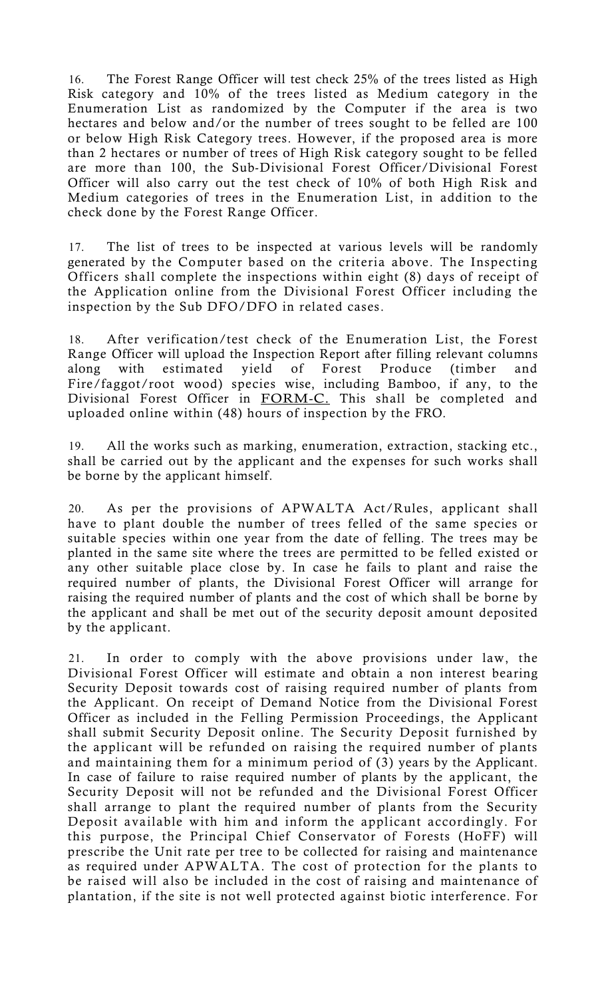16. The Forest Range Officer will test check 25% of the trees listed as High Risk category and 10% of the trees listed as Medium category in the Enumeration List as randomized by the Computer if the area is two hectares and below and/or the number of trees sought to be felled are 100 or below High Risk Category trees. However, if the proposed area is more than 2 hectares or number of trees of High Risk category sought to be felled are more than 100, the Sub-Divisional Forest Officer/Divisional Forest Officer will also carry out the test check of 10% of both High Risk and Medium categories of trees in the Enumeration List, in addition to the check done by the Forest Range Officer.

17. The list of trees to be inspected at various levels will be randomly generated by the Computer based on the criteria above. The Inspecting Officers shall complete the inspections within eight (8) days of receipt of the Application online from the Divisional Forest Officer including the inspection by the Sub DFO/DFO in related cases.

18. After verification/test check of the Enumeration List, the Forest Range Officer will upload the Inspection Report after filling relevant columns along with estimated yield of Forest Produce (timber and Fire/faggot/root wood) species wise, including Bamboo, if any, to the Divisional Forest Officer in FORM-C. This shall be completed and uploaded online within (48) hours of inspection by the FRO.

19. All the works such as marking, enumeration, extraction, stacking etc., shall be carried out by the applicant and the expenses for such works shall be borne by the applicant himself.

20. As per the provisions of APWALTA Act/Rules, applicant shall have to plant double the number of trees felled of the same species or suitable species within one year from the date of felling. The trees may be planted in the same site where the trees are permitted to be felled existed or any other suitable place close by. In case he fails to plant and raise the required number of plants, the Divisional Forest Officer will arrange for raising the required number of plants and the cost of which shall be borne by the applicant and shall be met out of the security deposit amount deposited by the applicant.

21. In order to comply with the above provisions under law, the Divisional Forest Officer will estimate and obtain a non interest bearing Security Deposit towards cost of raising required number of plants from the Applicant. On receipt of Demand Notice from the Divisional Forest Officer as included in the Felling Permission Proceedings, the Applicant shall submit Security Deposit online. The Security Deposit furnished by the applicant will be refunded on raising the required number of plants and maintaining them for a minimum period of (3) years by the Applicant. In case of failure to raise required number of plants by the applicant, the Security Deposit will not be refunded and the Divisional Forest Officer shall arrange to plant the required number of plants from the Security Deposit available with him and inform the applicant accordingly. For this purpose, the Principal Chief Conservator of Forests (HoFF) will prescribe the Unit rate per tree to be collected for raising and maintenance as required under APWALTA. The cost of protection for the plants to be raised will also be included in the cost of raising and maintenance of plantation, if the site is not well protected against biotic interference. For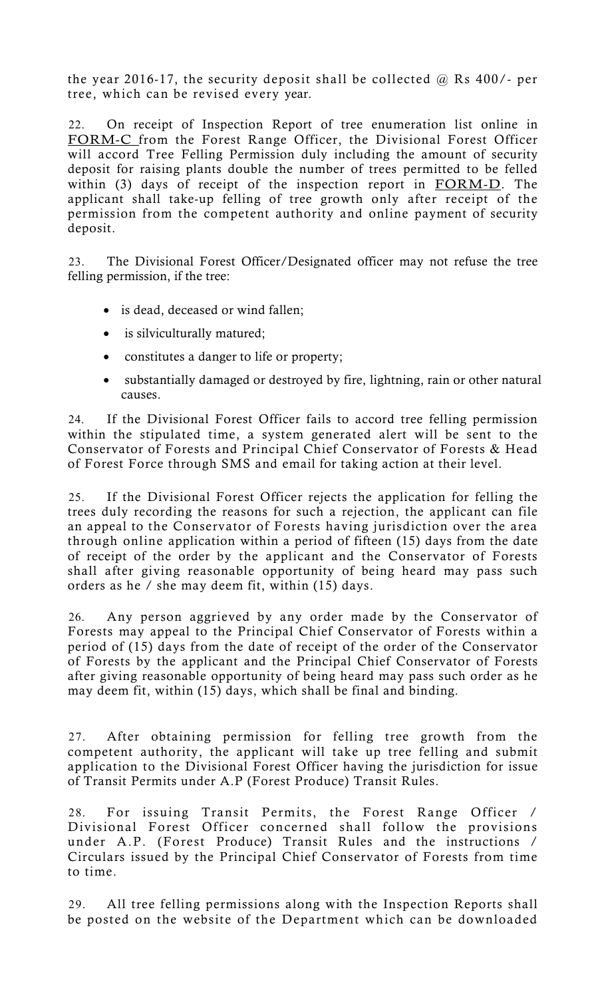the year 2016-17, the security deposit shall be collected  $\omega$  Rs 400/- per tree, which can be revised every year.

22. On receipt of Inspection Report of tree enumeration list online in FORM-C from the Forest Range Officer, the Divisional Forest Officer will accord Tree Felling Permission duly including the amount of security deposit for raising plants double the number of trees permitted to be felled within (3) days of receipt of the inspection report in FORM-D. The applicant shall take-up felling of tree growth only after receipt of the permission from the competent authority and online payment of security deposit.

23. The Divisional Forest Officer/Designated officer may not refuse the tree felling permission, if the tree:

- is dead, deceased or wind fallen;
- is silviculturally matured;
- constitutes a danger to life or property;
- substantially damaged or destroyed by fire, lightning, rain or other natural causes.

24. If the Divisional Forest Officer fails to accord tree felling permission within the stipulated time, a system generated alert will be sent to the Conservator of Forests and Principal Chief Conservator of Forests & Head of Forest Force through SMS and email for taking action at their level.

25. If the Divisional Forest Officer rejects the application for felling the trees duly recording the reasons for such a rejection, the applicant can file an appeal to the Conservator of Forests having jurisdiction over the area through online application within a period of fifteen (15) days from the date of receipt of the order by the applicant and the Conservator of Forests shall after giving reasonable opportunity of being heard may pass such orders as he / she may deem fit, within (15) days.

26. Any person aggrieved by any order made by the Conservator of Forests may appeal to the Principal Chief Conservator of Forests within a period of (15) days from the date of receipt of the order of the Conservator of Forests by the applicant and the Principal Chief Conservator of Forests after giving reasonable opportunity of being heard may pass such order as he may deem fit, within (15) days, which shall be final and binding.

27. After obtaining permission for felling tree growth from the competent authority, the applicant will take up tree felling and submit application to the Divisional Forest Officer having the jurisdiction for issue of Transit Permits under A.P (Forest Produce) Transit Rules.

28. For issuing Transit Permits, the Forest Range Officer / Divisional Forest Officer concerned shall follow the provisions under A.P. (Forest Produce) Transit Rules and the instructions / Circulars issued by the Principal Chief Conservator of Forests from time to time.

29. All tree felling permissions along with the Inspection Reports shall be posted on the website of the Department which can be downloaded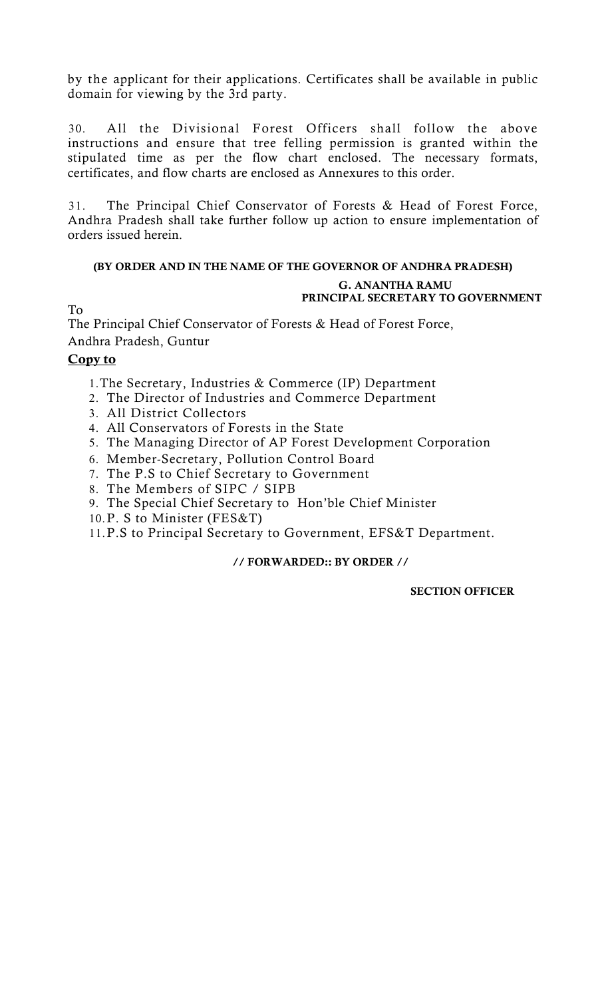by the applicant for their applications. Certificates shall be available in public domain for viewing by the 3rd party.

30. All the Divisional Forest Officers shall follow the above instructions and ensure that tree felling permission is granted within the stipulated time as per the flow chart enclosed. The necessary formats, certificates, and flow charts are enclosed as Annexures to this order.

31. The Principal Chief Conservator of Forests & Head of Forest Force, Andhra Pradesh shall take further follow up action to ensure implementation of orders issued herein.

# **(BY ORDER AND IN THE NAME OF THE GOVERNOR OF ANDHRA PRADESH)**

#### **G. ANANTHA RAMU PRINCIPAL SECRETARY TO GOVERNMENT**

To

The Principal Chief Conservator of Forests & Head of Forest Force, Andhra Pradesh, Guntur

## **Copy to**

- 1.The Secretary, Industries & Commerce (IP) Department
- 2. The Director of Industries and Commerce Department
- 3. All District Collectors
- 4. All Conservators of Forests in the State
- 5. The Managing Director of AP Forest Development Corporation
- 6. Member-Secretary, Pollution Control Board
- 7. The P.S to Chief Secretary to Government
- 8. The Members of SIPC / SIPB
- 9. The Special Chief Secretary to Hon'ble Chief Minister
- 10.P. S to Minister (FES&T)

11.P.S to Principal Secretary to Government, EFS&T Department.

## **// FORWARDED:: BY ORDER //**

 **SECTION OFFICER**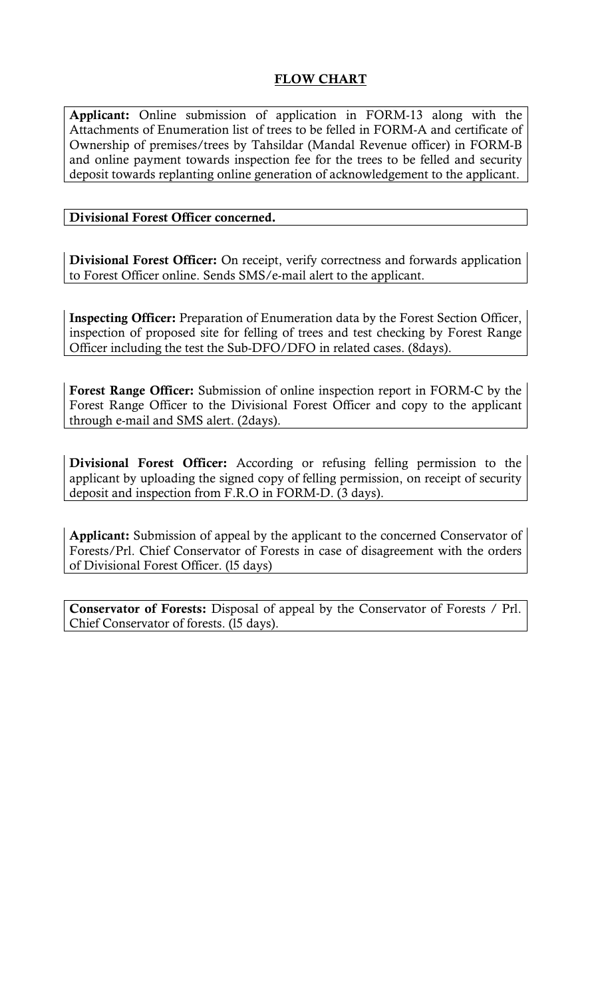## **FLOW CHART**

**Applicant:** Online submission of application in FORM-13 along with the Attachments of Enumeration list of trees to be felled in FORM-A and certificate of Ownership of premises/trees by Tahsildar (Mandal Revenue officer) in FORM-B and online payment towards inspection fee for the trees to be felled and security deposit towards replanting online generation of acknowledgement to the applicant.

## **Divisional Forest Officer concerned.**

**Divisional Forest Officer:** On receipt, verify correctness and forwards application to Forest Officer online. Sends SMS/e-mail alert to the applicant.

**Inspecting Officer:** Preparation of Enumeration data by the Forest Section Officer, inspection of proposed site for felling of trees and test checking by Forest Range Officer including the test the Sub-DFO/DFO in related cases. (8days).

**Forest Range Officer:** Submission of online inspection report in FORM-C by the Forest Range Officer to the Divisional Forest Officer and copy to the applicant through e-mail and SMS alert. (2days).

**Divisional Forest Officer:** According or refusing felling permission to the applicant by uploading the signed copy of felling permission, on receipt of security deposit and inspection from F.R.O in FORM-D. (3 days).

**Applicant:** Submission of appeal by the applicant to the concerned Conservator of Forests/Prl. Chief Conservator of Forests in case of disagreement with the orders of Divisional Forest Officer. (l5 days)

**Conservator of Forests:** Disposal of appeal by the Conservator of Forests / Prl. Chief Conservator of forests. (l5 days).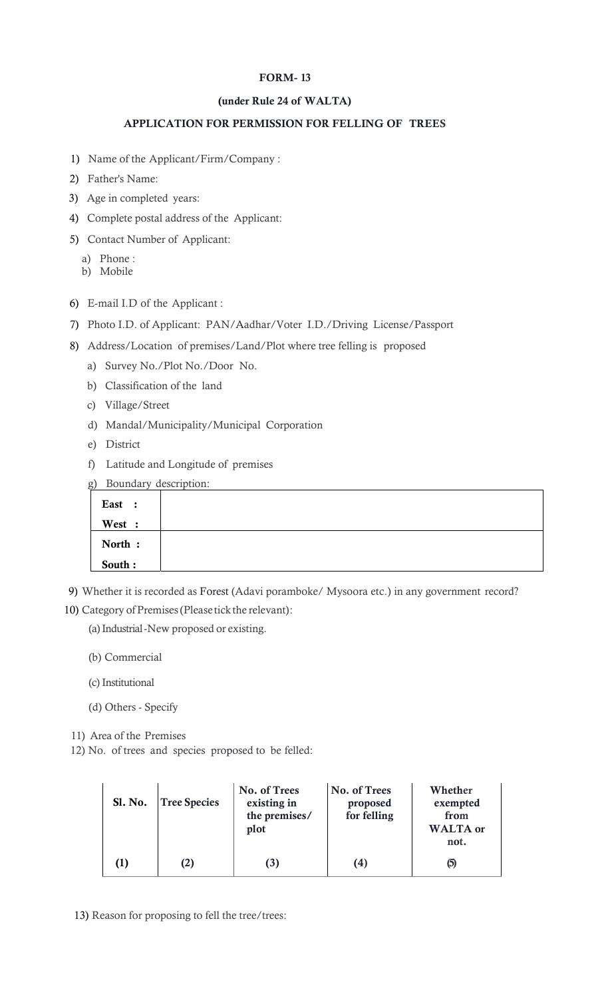#### **FORM- 13**

#### **(under Rule 24 of WALTA)**

#### **APPLICATION FOR PERMISSION FOR FELLING OF TREES**

- 1) Name of the Applicant/Firm/Company :
- 2) Father's Name:
- 3) Age in completed years:
- 4) Complete postal address of the Applicant:
- 5) Contact Number of Applicant:
	- a) Phone :
	- b) Mobile
- 6) E-mail I.D of the Applicant :
- 7) Photo I.D. of Applicant: PAN/Aadhar/Voter I.D./Driving License/Passport
- 8) Address/Location of premises/Land/Plot where tree felling is proposed
	- a) Survey No./Plot No./Door No.
	- b) Classification of the land
	- c) Village/Street
	- d) Mandal/Municipality/Municipal Corporation
	- e) District
	- f) Latitude and Longitude of premises

|         | g) Boundary description: |
|---------|--------------------------|
| East :  |                          |
| West :  |                          |
| North : |                          |
| South:  |                          |

- 9) Whether it is recorded as Forest (Adavi poramboke/ Mysoora etc.) in any government record?
- 10) Category of Premises (Please tick the relevant) :
	- (a) Industrial New proposed or existing.
	- (b) Commercial
	- (c) Institutional
	- (d) Others Specify
- 11) Area of the Premises
- 12) No. of trees and species proposed to be felled:

| <b>Sl. No.</b> | <b>Tree Species</b> | No. of Trees<br>existing in<br>the premises/<br>plot | No. of Trees<br>proposed<br>for felling | Whether<br>exempted<br>from<br><b>WALTA</b> or<br>not. |
|----------------|---------------------|------------------------------------------------------|-----------------------------------------|--------------------------------------------------------|
|                | $\bf(2)$            | (3)                                                  | (4)                                     | $\left(5\right)$                                       |

13) Reason for proposing to fell the tree/trees: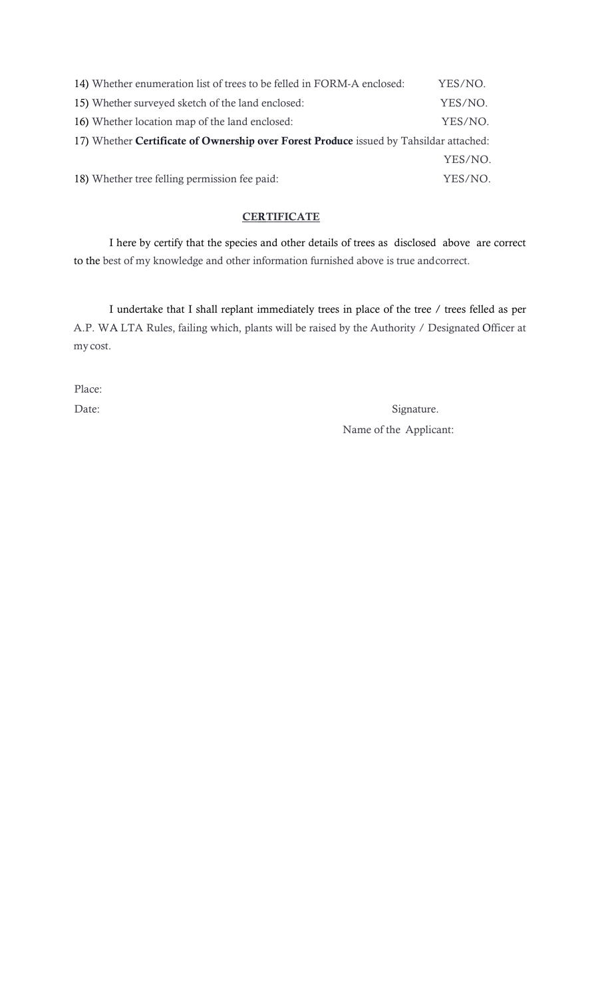| 14) Whether enumeration list of trees to be felled in FORM-A enclosed:                 | YES/NO. |  |  |  |  |  |  |  |
|----------------------------------------------------------------------------------------|---------|--|--|--|--|--|--|--|
| 15) Whether surveyed sketch of the land enclosed:                                      | YES/NO. |  |  |  |  |  |  |  |
| 16) Whether location map of the land enclosed:                                         | YES/NO. |  |  |  |  |  |  |  |
| 17) Whether Certificate of Ownership over Forest Produce issued by Tahsildar attached: |         |  |  |  |  |  |  |  |
|                                                                                        | YES/NO. |  |  |  |  |  |  |  |
| 18) Whether tree felling permission fee paid:                                          | YES/NO. |  |  |  |  |  |  |  |

## **CERTIFICATE**

I here by certify that the species and other details of trees as disclosed above are correct to the best of my knowledge and other information furnished above is true and correct.

I undertake that I shall replant immediately trees in place of the tree / trees felled as per A.P. WA LTA Rules, failing which, plants will be raised by the Authority / Designated Officer at my cost.

Place:

Date: Signature. Name of the Applicant: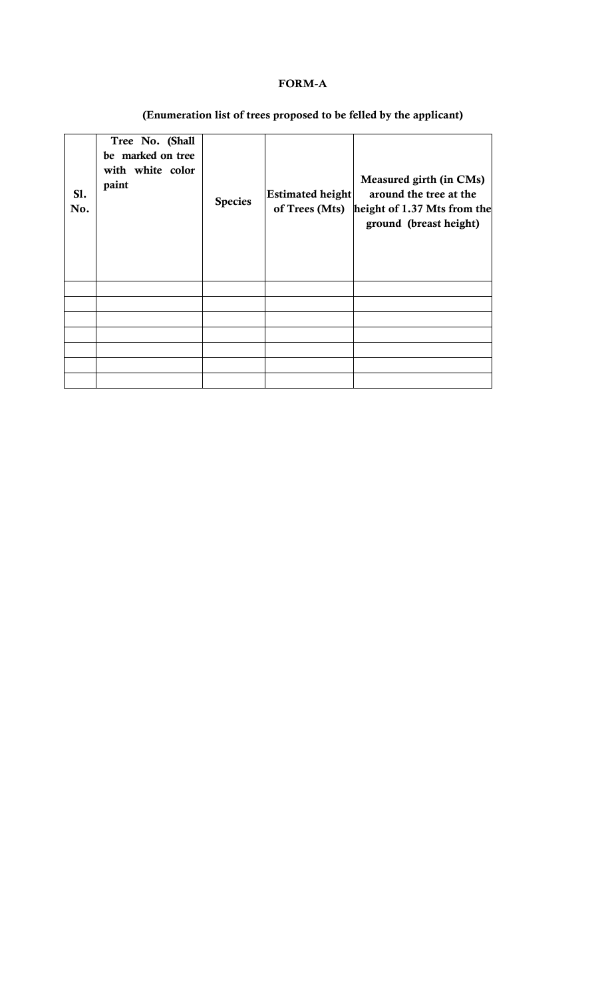## **FORM-A**

# **(Enumeration list of trees proposed to be felled by the applicant)**

| SI.<br>No. | Tree No. (Shall<br>be marked on tree<br>with white color<br>paint | <b>Species</b> | <b>Estimated height</b><br>of Trees (Mts) | Measured girth (in CMs)<br>around the tree at the<br>height of 1.37 Mts from the<br>ground (breast height) |
|------------|-------------------------------------------------------------------|----------------|-------------------------------------------|------------------------------------------------------------------------------------------------------------|
|            |                                                                   |                |                                           |                                                                                                            |
|            |                                                                   |                |                                           |                                                                                                            |
|            |                                                                   |                |                                           |                                                                                                            |
|            |                                                                   |                |                                           |                                                                                                            |
|            |                                                                   |                |                                           |                                                                                                            |
|            |                                                                   |                |                                           |                                                                                                            |
|            |                                                                   |                |                                           |                                                                                                            |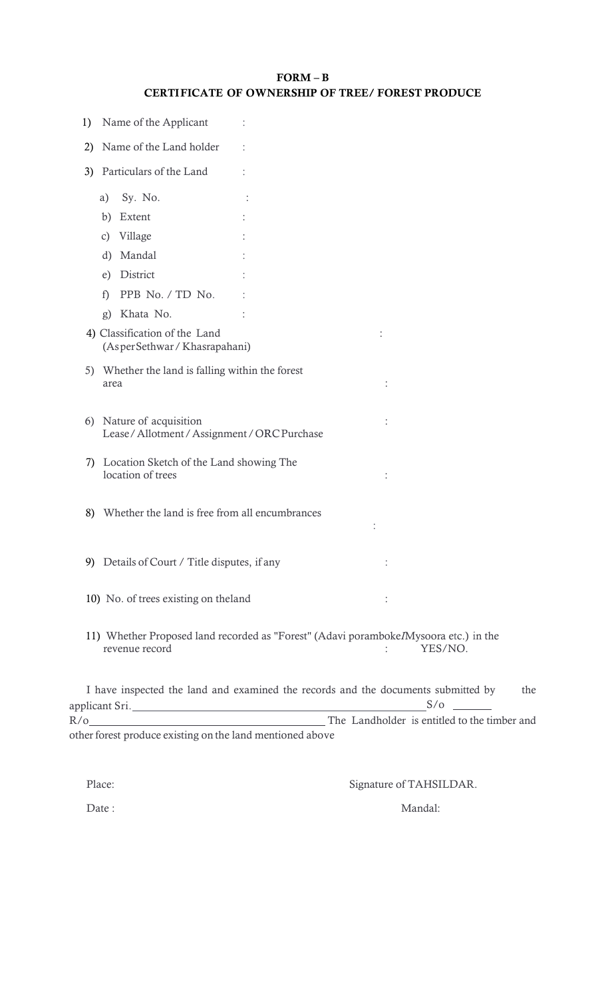| $FORM - B$                                             |  |
|--------------------------------------------------------|--|
| <b>CERTIFICATE OF OWNERSHIP OF TREE/FOREST PRODUCE</b> |  |

| 1) | Name of the Applicant                                           |                                                                                                 |
|----|-----------------------------------------------------------------|-------------------------------------------------------------------------------------------------|
| 2) | Name of the Land holder                                         |                                                                                                 |
| 3) | Particulars of the Land                                         |                                                                                                 |
|    | Sy. No.<br>a)                                                   |                                                                                                 |
|    | Extent                                                          |                                                                                                 |
|    | b)                                                              |                                                                                                 |
|    | Village<br>$\mathcal{C}$ )                                      |                                                                                                 |
|    | Mandal<br>d)                                                    |                                                                                                 |
|    | District<br>e)                                                  |                                                                                                 |
|    | PPB No. / TD No.<br>f)                                          |                                                                                                 |
|    | Khata No.<br>g)                                                 |                                                                                                 |
|    | 4) Classification of the Land<br>(AsperSethwar / Khasrapahani)  |                                                                                                 |
|    | 5) Whether the land is falling within the forest<br>area        |                                                                                                 |
| 6) | Nature of acquisition<br>Lease/Allotment/Assignment/ORCPurchase |                                                                                                 |
| 7) | Location Sketch of the Land showing The<br>location of trees    |                                                                                                 |
|    | 8) Whether the land is free from all encumbrances               |                                                                                                 |
|    | 9) Details of Court / Title disputes, if any                    |                                                                                                 |
|    | 10) No. of trees existing on the land                           |                                                                                                 |
|    | revenue record                                                  | 11) Whether Proposed land recorded as "Forest" (Adavi poramboke/Mysoora etc.) in the<br>YES/NO. |
|    |                                                                 | I have inspected the land and examined the records and the documents submitted by<br>the        |

R/o The Landholder is entitled to the timber and other forest produce existing on the land mentioned above

Place: Signature of TAHSILDAR.

Date : Mandal: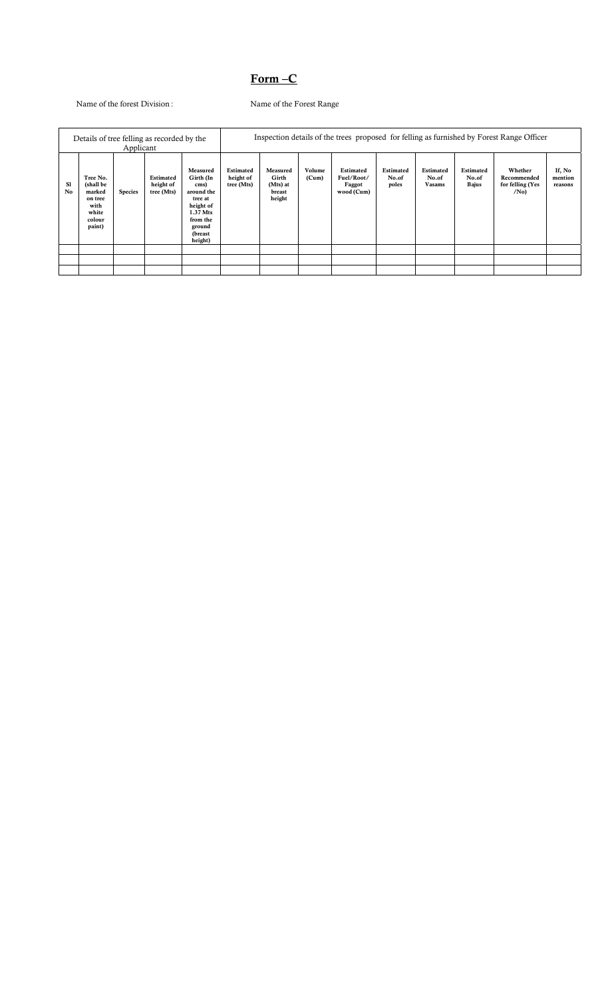## **Form –C**

Name of the forest Division : Name of the Forest Range

| Details of tree felling as recorded by the<br>Applicant |                                                                                 |                |                                      |                                                                                                                              | Inspection details of the trees proposed for felling as furnished by Forest Range Officer |                                                   |                 |                                                 |                             |                              |                             |                                                               |                              |
|---------------------------------------------------------|---------------------------------------------------------------------------------|----------------|--------------------------------------|------------------------------------------------------------------------------------------------------------------------------|-------------------------------------------------------------------------------------------|---------------------------------------------------|-----------------|-------------------------------------------------|-----------------------------|------------------------------|-----------------------------|---------------------------------------------------------------|------------------------------|
| Sl<br>No                                                | Tree No.<br>(shall be<br>marked<br>on tree<br>with<br>white<br>colour<br>paint) | <b>Species</b> | Estimated<br>height of<br>tree (Mts) | Measured<br>Girth (In<br>cms)<br>around the<br>tree at<br>height of<br>1.37 Mts<br>from the<br>ground<br>(breast)<br>height) | Estimated<br>height of<br>tree (Mts)                                                      | Measured<br>Girth<br>(Mts) at<br>breast<br>height | Volume<br>(Cum) | Estimated<br>Fuel/Root/<br>Faggot<br>wood (Cum) | Estimated<br>No.of<br>poles | Estimated<br>No.of<br>Vasams | Estimated<br>No.of<br>Bajus | Whether<br>Recommended<br>for felling (Yes<br>/N <sub>0</sub> | If, No<br>mention<br>reasons |
|                                                         |                                                                                 |                |                                      |                                                                                                                              |                                                                                           |                                                   |                 |                                                 |                             |                              |                             |                                                               |                              |
|                                                         |                                                                                 |                |                                      |                                                                                                                              |                                                                                           |                                                   |                 |                                                 |                             |                              |                             |                                                               |                              |
|                                                         |                                                                                 |                |                                      |                                                                                                                              |                                                                                           |                                                   |                 |                                                 |                             |                              |                             |                                                               |                              |